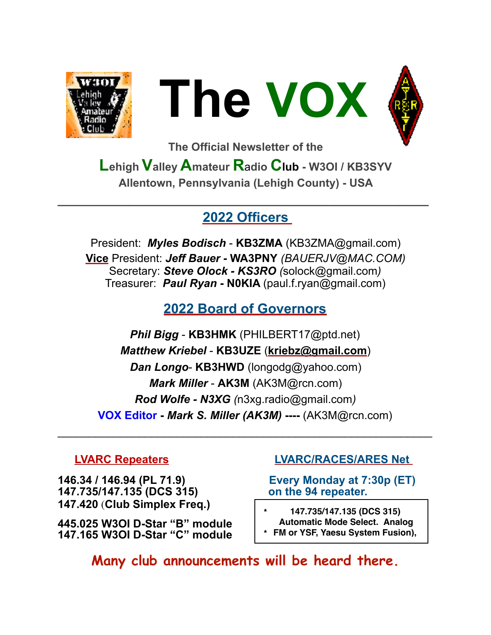



**The Official Newsletter of the** 

**Lehigh Valley Amateur R**a**dio Club - W3OI / KB3SYV Allentown, Pennsylvania (Lehigh County) - USA** 

#### **2022 Officers**

**\_\_\_\_\_\_\_\_\_\_\_\_\_\_\_\_\_\_\_\_\_\_\_\_\_\_\_\_\_\_\_\_\_\_\_\_\_\_\_\_\_\_\_\_\_\_\_\_\_\_\_\_** 

President: *Myles Bodisch* - **KB3ZMA** [\(KB3ZMA@gmail.com](mailto:KB3ZMA@gmail.com)) **[Vice](mailto:no_reply@apple.com)** President: *Jeff Bauer -* **WA3PNY** *(BAUERJV@MAC.COM)* Secretary: *Steve Olock - KS3RO (*[solock@gmail.com](mailto:solock@gmail.com)*)* Treasurer: *Paul Ryan* **- N0KIA** [\(paul.f.ryan@gmail.com](mailto:paul.f.ryan@gmail.com))

# **2022 Board of Governors**

*Phil Bigg* - **KB3HMK** (PHILBERT17@ptd.net) *Matthew Kriebel* - **KB3UZE** (**[kriebz@gmail.com](mailto:kriebz@gmail.com)**) *Dan Longo*- **KB3HWD** (longodg@yahoo.com) *Mark Miller* - **AK3M** ([AK3M@rcn.com\)](mailto:AK3M@rcn.com) *Rod Wolfe - N3XG (*[n3xg.radio@gmail.com](mailto:n3xg.radio@gmail.com)*)*  **VOX Editor -** *Mark S. Miller (AK3M)* **----** (AK3M@rcn.com)

 $\mathcal{L}_\text{max}$  , and the contract of the contract of the contract of the contract of the contract of the contract of the contract of the contract of the contract of the contract of the contract of the contract of the contr

**146.34 / 146.94 (PL 71.9) Every Monday at 7:30p (ET) 147.735/147.135 (DCS 315) on the 94 repeater. 147.420** (**Club Simplex Freq.)** 

**445.025 W3OI D-Star "B" module 147.165 W3OI D-Star "C" module** 

#### **LVARC Repeaters LVARC/RACES/ARES Net**

**\* 147.735/147.135 (DCS 315) Automatic Mode Select. Analog**

**\* FM or YSF, Yaesu System Fusion),**

**Many club announcements will be heard there.**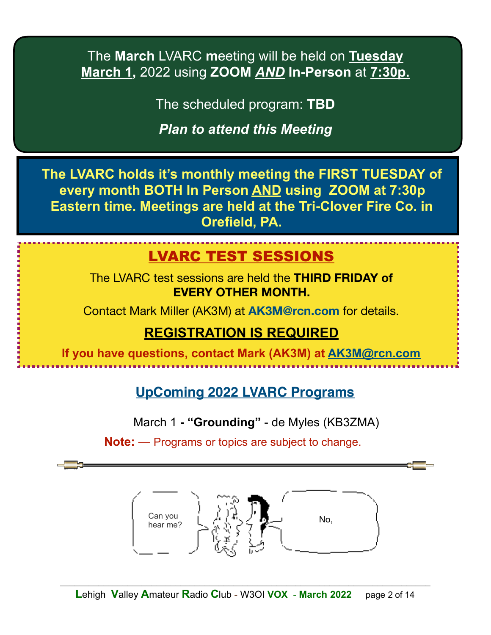The **March** LVARC **m**eeting will be held on **Tuesday March 1,** 2022 using **ZOOM** *AND* **In-Person** at **7:30p.** 

The scheduled program: **TBD** 

*Plan to attend this Meeting*

**The LVARC holds it's monthly meeting the FIRST TUESDAY of every month BOTH In Person AND using ZOOM at 7:30p Eastern time. Meetings are held at the Tri-Clover Fire Co. in Orefield, PA.** 

# LVARC TEST SESSIONS

The LVARC test sessions are held the **THIRD FRIDAY of EVERY OTHER MONTH.**

Contact Mark Miller (AK3M) at **[AK3M@rcn.com](mailto:AK3M@rcn.com)** for details.

# **REGISTRATION IS REQUIRED**

**If you have questions, contact Mark (AK3M) at [AK3M@rcn.com](mailto:AK3M@rcn.com)**

**UpComing 2022 LVARC Programs**

March 1 **- "Grounding"** - de Myles (KB3ZMA)

**Note:** — Programs or topics are subject to change.

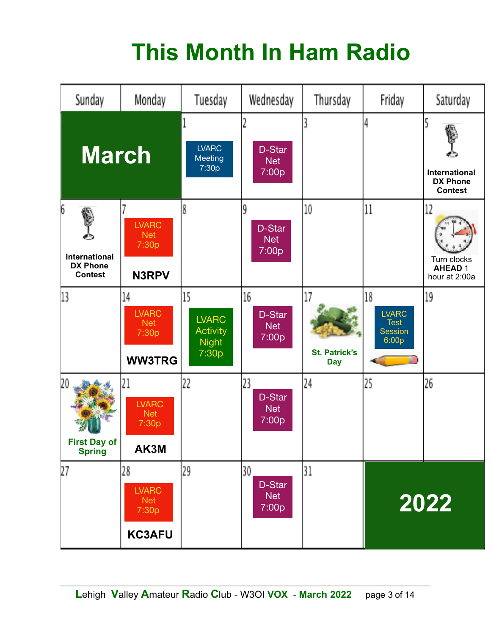# **This Month In Ham Radio**

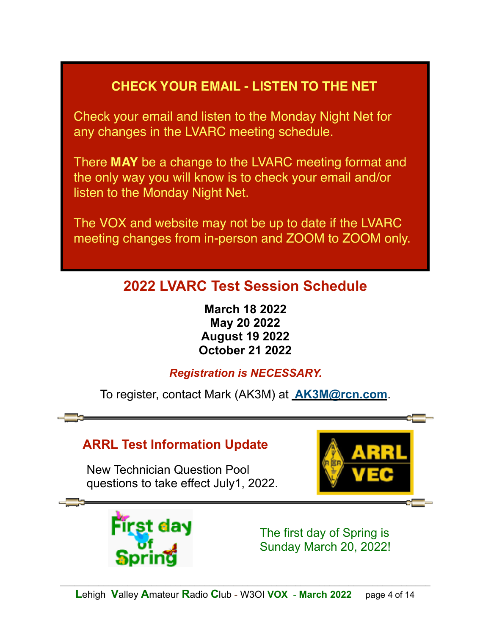# **CHECK YOUR EMAIL - LISTEN TO THE NET**

Check your email and listen to the Monday Night Net for any changes in the LVARC meeting schedule.

There **MAY** be a change to the LVARC meeting format and the only way you will know is to check your email and/or listen to the Monday Night Net.

The VOX and website may not be up to date if the LVARC meeting changes from in-person and ZOOM to ZOOM only.

# **2022 LVARC Test Session Schedule**

**March 18 2022 May 20 2022 August 19 2022 October 21 2022**

*Registration is NECESSARY.*

To register, contact Mark (AK3M) at **[AK3M@rcn.com](mailto:no_reply@apple.com)**.

# **ARRL Test Information Update**

 New Technician Question Pool questions to take effect July1, 2022.



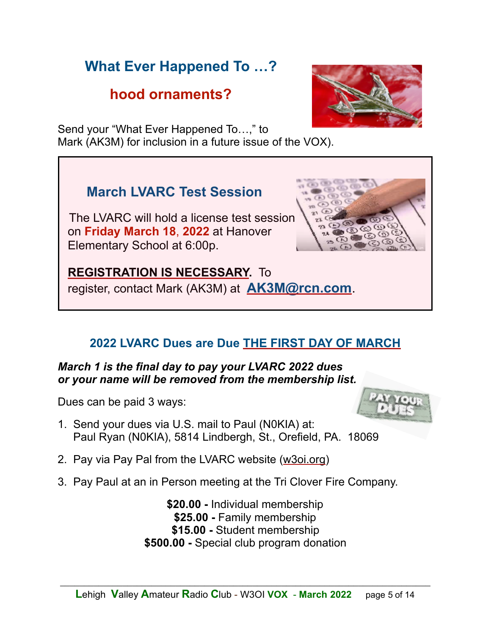# **What Ever Happened To …?**

# **hood ornaments?**

Send your "What Ever Happened To…," to Mark (AK3M) for inclusion in a future issue of the VOX).

# **March LVARC Test Session**

 The LVARC will hold a license test session on **Friday March 18**, **2022** at Hanover Elementary School at 6:00p.

 **REGISTRATION IS NECESSARY.** To register, contact Mark (AK3M) at **[AK3M@rcn.com](mailto:AK3M@rcn.com)**.

# **2022 LVARC Dues are Due THE FIRST DAY OF MARCH**

#### *March 1 is the final day to pay your LVARC 2022 dues or your name will be removed from the membership list.*

Dues can be paid 3 ways:

- 1. Send your dues via U.S. mail to Paul (N0KIA) at: Paul Ryan (N0KIA), 5814 Lindbergh, St., Orefield, PA. 18069
- 2. Pay via Pay Pal from the LVARC website [\(w3oi.org](http://w3oi.org))
- 3. Pay Paul at an in Person meeting at the Tri Clover Fire Company.

**\$20.00 -** Individual membership **\$25.00 -** Family membership **\$15.00 -** Student membership **\$500.00 -** Special club program donation





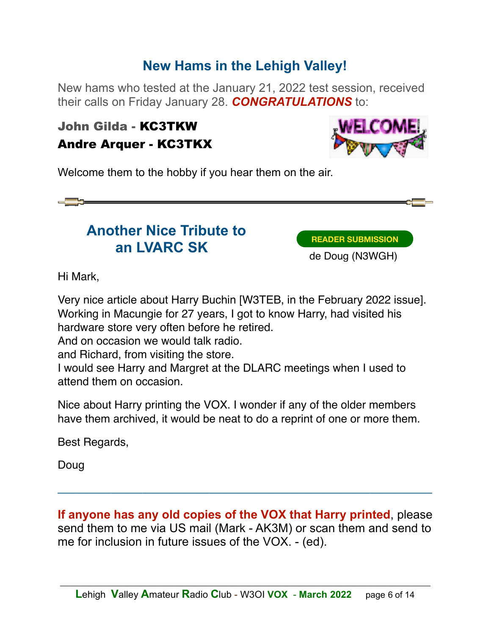# **New Hams in the Lehigh Valley!**

New hams who tested at the January 21, 2022 test session, received their calls on Friday January 28. *CONGRATULATIONS* to:

#### John Gilda - KC3TKW Andre Arquer - KC3TKX



Welcome them to the hobby if you hear them on the air.



# **Another Nice Tribute to an LVARC SK**

**READER SUBMISSION**

de Doug (N3WGH)

Hi Mark,

Very nice article about Harry Buchin [W3TEB, in the February 2022 issue]. Working in Macungie for 27 years, I got to know Harry, had visited his hardware store very often before he retired.

And on occasion we would talk radio.

and Richard, from visiting the store.

I would see Harry and Margret at the DLARC meetings when I used to attend them on occasion.

Nice about Harry printing the VOX. I wonder if any of the older members have them archived, it would be neat to do a reprint of one or more them.

Best Regards,

Doug

**If anyone has any old copies of the VOX that Harry printed**, please send them to me via US mail (Mark - AK3M) or scan them and send to me for inclusion in future issues of the VOX. - (ed).

**\_\_\_\_\_\_\_\_\_\_\_\_\_\_\_\_\_\_\_\_\_\_\_\_\_\_\_\_\_\_\_\_\_\_\_\_\_\_\_\_\_\_\_\_\_\_\_\_\_\_\_\_\_\_\_\_\_\_\_\_\_\_\_\_\_\_\_\_\_\_\_\_\_\_\_\_\_\_\_\_\_\_\_\_**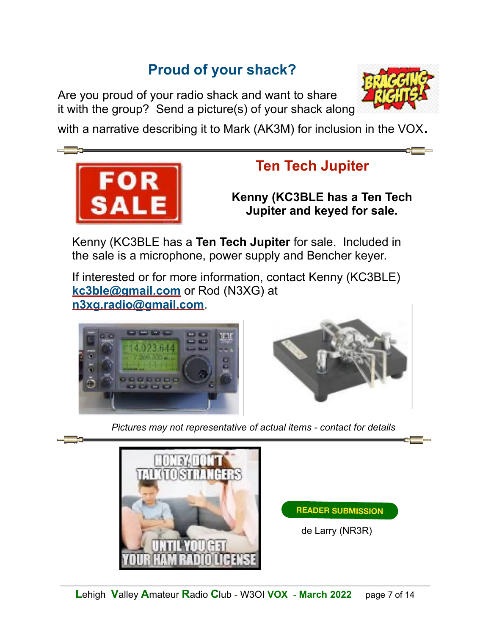# **Proud of your shack?**

Are you proud of your radio shack and want to share it with the group? Send a picture(s) of your shack along



with a narrative describing it to Mark (AK3M) for inclusion in the VOX.



# **Ten Tech Jupiter**

**Kenny (KC3BLE has a Ten Tech Jupiter and keyed for sale.**

Kenny (KC3BLE has a **Ten Tech Jupiter** for sale. Included in the sale is a microphone, power supply and Bencher keyer.

If interested or for more information, contact Kenny (KC3BLE) **[kc3ble@gmail.com](mailto:kc3ble@gmail.com)** or Rod (N3XG) at **[n3xg.radio@gmail.com](mailto:n3xg.radio@gmail.com)**.





*Pictures may not representative of actual items - contact for details*



**READER SUBMISSION**

de Larry (NR3R)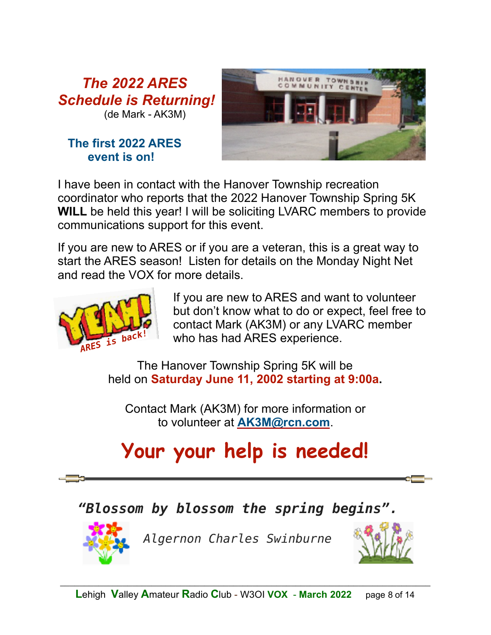*The 2022 ARES Schedule is Returning!*  (de Mark - AK3M)

#### **The first 2022 ARES event is on!**



I have been in contact with the Hanover Township recreation coordinator who reports that the 2022 Hanover Township Spring 5K **WILL** be held this year! I will be soliciting LVARC members to provide communications support for this event.

If you are new to ARES or if you are a veteran, this is a great way to start the ARES season! Listen for details on the Monday Night Net and read the VOX for more details.



 If you are new to ARES and want to volunteer but don't know what to do or expect, feel free to contact Mark (AK3M) or any LVARC member  $\frac{1}{15}$  bac<sup>k!</sup> who has had ARES experience.

The Hanover Township Spring 5K will be held on **Saturday June 11, 2002 starting at 9:00a.** 

Contact Mark (AK3M) for more information or to volunteer at **[AK3M@rcn.com](mailto:AK3M@rcn.com)**.

# **Your your help is needed!**

# *"Blossom by blossom the spring begins".*



*Algernon Charles Swinburne*

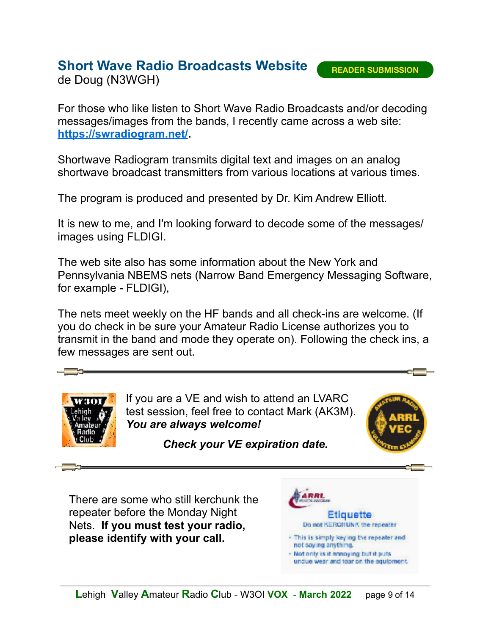**READER SUBMISSION**

## **Short Wave Radio Broadcasts Website**

de Doug (N3WGH)

For those who like listen to Short Wave Radio Broadcasts and/or decoding messages/images from the bands, I recently came across a web site: **[https://swradiogram.net/.](https://swradiogram.net/)** 

Shortwave Radiogram transmits digital text and images on an analog shortwave broadcast transmitters from various locations at various times.

The program is produced and presented by Dr. Kim Andrew Elliott.

It is new to me, and I'm looking forward to decode some of the messages/ images using FLDIGI.

The web site also has some information about the New York and Pennsylvania NBEMS nets (Narrow Band Emergency Messaging Software, for example - FLDIGI),

The nets meet weekly on the HF bands and all check-ins are welcome. (If you do check in be sure your Amateur Radio License authorizes you to transmit in the band and mode they operate on). Following the check ins, a few messages are sent out.



If you are a VE and wish to attend an LVARC test session, feel free to contact Mark (AK3M). *You are always welcome!* 



*Check your VE expiration date.*

There are some who still kerchunk the repeater before the Monday Night Nets. **If you must test your radio, please identify with your call.**

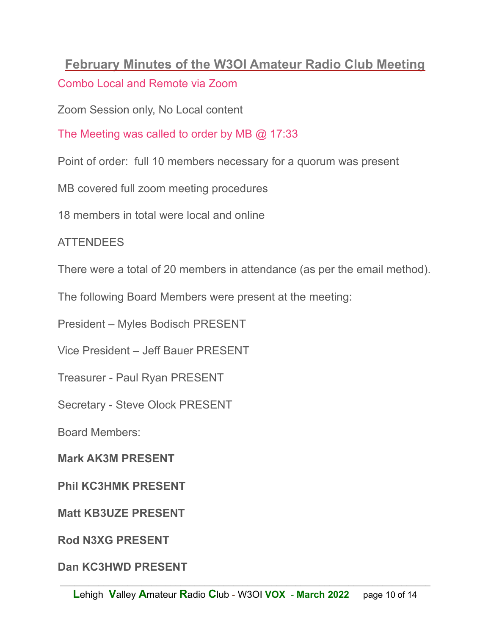# **February Minutes of the W3OI Amateur Radio Club Meeting**

Combo Local and Remote via Zoom

Zoom Session only, No Local content

The Meeting was called to order by MB @ 17:33

Point of order: full 10 members necessary for a quorum was present

MB covered full zoom meeting procedures

18 members in total were local and online

#### ATTENDEES

There were a total of 20 members in attendance (as per the email method).

The following Board Members were present at the meeting:

President – Myles Bodisch PRESENT

Vice President – Jeff Bauer PRESENT

Treasurer - Paul Ryan PRESENT

Secretary - Steve Olock PRESENT

Board Members:

**Mark AK3M PRESENT** 

**Phil KC3HMK PRESENT** 

**Matt KB3UZE PRESENT** 

**Rod N3XG PRESENT** 

**Dan KC3HWD PRESENT**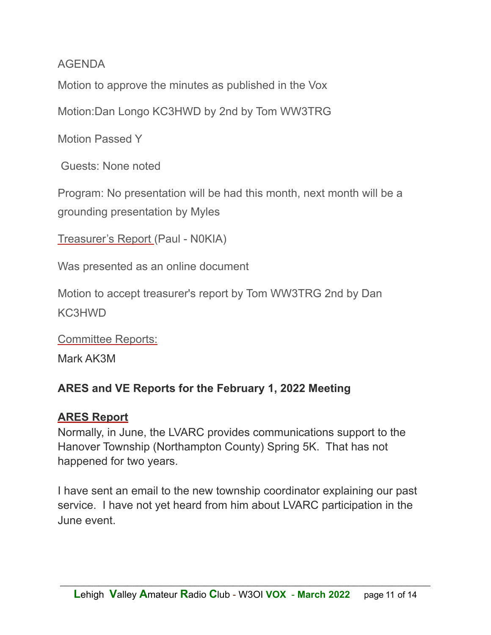#### AGENDA

Motion to approve the minutes as published in the Vox

Motion:Dan Longo KC3HWD by 2nd by Tom WW3TRG

Motion Passed Y

Guests: None noted

Program: No presentation will be had this month, next month will be a grounding presentation by Myles

Treasurer's Report (Paul - N0KIA)

Was presented as an online document

Motion to accept treasurer's report by Tom WW3TRG 2nd by Dan KC3HWD

Committee Reports:

Mark AK3M

#### **ARES and VE Reports for the February 1, 2022 Meeting**

#### **ARES Report**

Normally, in June, the LVARC provides communications support to the Hanover Township (Northampton County) Spring 5K. That has not happened for two years.

I have sent an email to the new township coordinator explaining our past service. I have not yet heard from him about LVARC participation in the June event.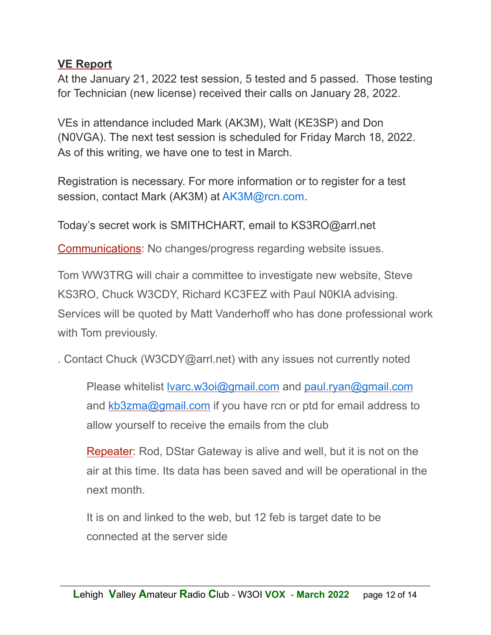#### **VE Report**

At the January 21, 2022 test session, 5 tested and 5 passed. Those testing for Technician (new license) received their calls on January 28, 2022.

VEs in attendance included Mark (AK3M), Walt (KE3SP) and Don (N0VGA). The next test session is scheduled for Friday March 18, 2022. As of this writing, we have one to test in March.

Registration is necessary. For more information or to register for a test session, contact Mark (AK3M) at AK3M@rcn.com.

Today's secret work is SMITHCHART, email to KS3RO@arrl.net

Communications: No changes/progress regarding website issues.

Tom WW3TRG will chair a committee to investigate new website, Steve KS3RO, Chuck W3CDY, Richard KC3FEZ with Paul N0KIA advising. Services will be quoted by Matt Vanderhoff who has done professional work with Tom previously.

. Contact Chuck (W3CDY@arrl.net) with any issues not currently noted

Please whitelist <u>Ivarc.w3oi@gmail.com</u> and [paul.ryan@gmail.com](mailto:paul.ryan@gmail.com) and [kb3zma@gmail.com](mailto:kb3zma@gmail.com) if you have rcn or ptd for email address to allow yourself to receive the emails from the club

Repeater: Rod, DStar Gateway is alive and well, but it is not on the air at this time. Its data has been saved and will be operational in the next month.

It is on and linked to the web, but 12 feb is target date to be connected at the server side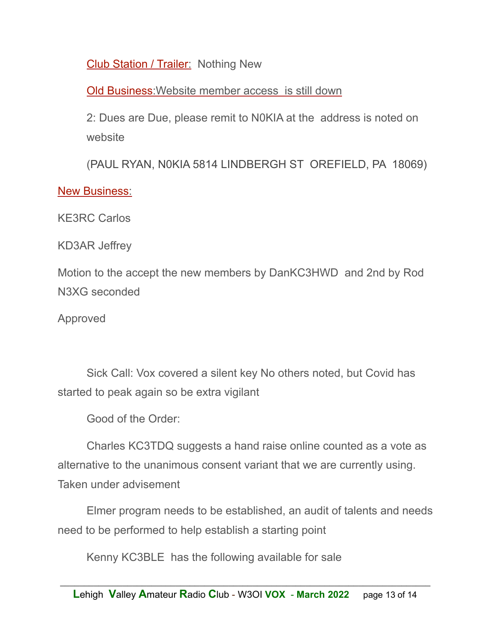Club Station / Trailer: Nothing New

Old Business:Website member access is still down

2: Dues are Due, please remit to N0KIA at the address is noted on website

(PAUL RYAN, N0KIA 5814 LINDBERGH ST OREFIELD, PA 18069)

#### New Business:

KE3RC Carlos

KD3AR Jeffrey

Motion to the accept the new members by DanKC3HWD and 2nd by Rod N3XG seconded

Approved

Sick Call: Vox covered a silent key No others noted, but Covid has started to peak again so be extra vigilant

Good of the Order:

Charles KC3TDQ suggests a hand raise online counted as a vote as alternative to the unanimous consent variant that we are currently using. Taken under advisement

Elmer program needs to be established, an audit of talents and needs need to be performed to help establish a starting point

Kenny KC3BLE has the following available for sale